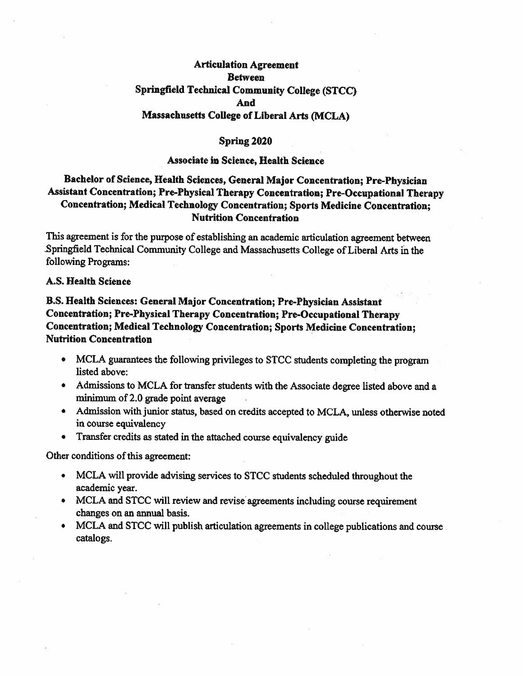### **Articulation Agreement Retween Springfield Technical Community College (STCC)** And **Massachusetts College of Liberal Arts (MCLA)**

#### Spring 2020

#### **Associate in Science, Health Science**

### Bachelor of Science, Health Sciences, General Major Concentration; Pre-Physician Assistant Concentration; Pre-Physical Therapy Concentration; Pre-Occupational Therapy Concentration; Medical Technology Concentration; Sports Medicine Concentration; **Nutrition Concentration**

This agreement is for the purpose of establishing an academic articulation agreement between Springfield Technical Community College and Massachusetts College of Liberal Arts in the following Programs:

#### A.S. Health Science

### B.S. Health Sciences: General Major Concentration; Pre-Physician Assistant Concentration; Pre-Physical Therapy Concentration; Pre-Occupational Therapy Concentration; Medical Technology Concentration; Sports Medicine Concentration; **Nutrition Concentration**

- MCLA guarantees the following privileges to STCC students completing the program listed above:
- Admissions to MCLA for transfer students with the Associate degree listed above and a minimum of 2.0 grade point average
- Admission with junior status, based on credits accepted to MCLA, unless otherwise noted in course equivalency
- Transfer credits as stated in the attached course equivalency guide

Other conditions of this agreement:

- MCLA will provide advising services to STCC students scheduled throughout the academic year.
- MCLA and STCC will review and revise agreements including course requirement changes on an annual basis.
- MCLA and STCC will publish articulation agreements in college publications and course  $\bullet$ catalogs.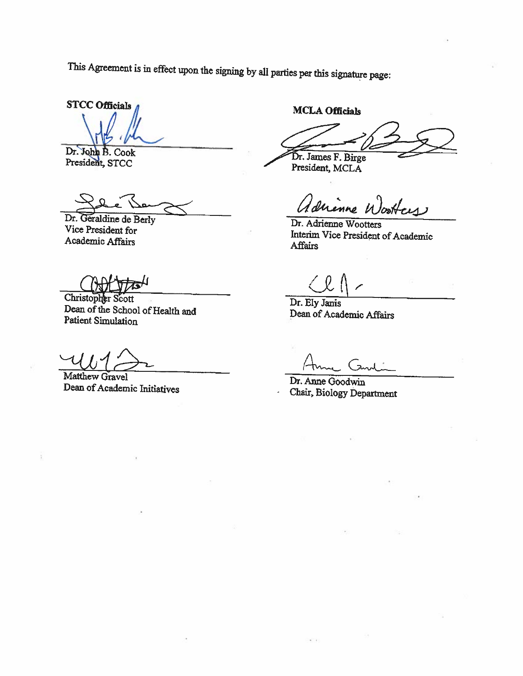This Agreement is in effect upon the signing by all parties per this signature page:

**STCC Officials** 

Dr. John B. Cook President, STCC

Dr. Geraldine de Berly Vice President for Academic Affairs

Christopher Scott Dean of the School of Health and **Patient Simulation** 

Matthew Gravel Dean of Academic Initiatives

**MCLA Officials** 

Dr. James F. Birge

President, MCLA

referre drenne V

Dr. Adrienne Wootters Interim Vice President of Academic **Affairs** 

Dr. Ely Janis Dean of Academic Affairs

Dr. Anne Goodwin Chair, Biology Department

 $\mathbf{r}$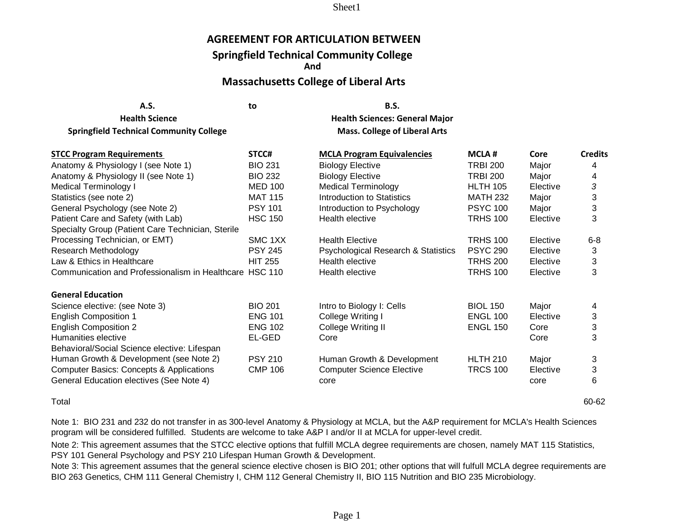## **AGREEMENT FOR ARTICULATION BETWEEN**

# **Springfield Technical Community College**

**And**

# **Massachusetts College of Liberal Arts**

**A.S. to B.S.**

| <b>Health Science</b>                                   |                | <b>Health Sciences: General Major</b> |                 |          |                |
|---------------------------------------------------------|----------------|---------------------------------------|-----------------|----------|----------------|
| <b>Springfield Technical Community College</b>          |                | <b>Mass. College of Liberal Arts</b>  |                 |          |                |
| <b>STCC Program Requirements</b>                        | STCC#          | <b>MCLA Program Equivalencies</b>     | <b>MCLA#</b>    | Core     | <b>Credits</b> |
| Anatomy & Physiology I (see Note 1)                     | <b>BIO 231</b> | <b>Biology Elective</b>               | <b>TRBI 200</b> | Major    | 4              |
| Anatomy & Physiology II (see Note 1)                    | <b>BIO 232</b> | <b>Biology Elective</b>               | <b>TRBI 200</b> | Major    | 4              |
| <b>Medical Terminology I</b>                            | <b>MED 100</b> | <b>Medical Terminology</b>            | <b>HLTH 105</b> | Elective | 3              |
| Statistics (see note 2)                                 | <b>MAT 115</b> | Introduction to Statistics            | <b>MATH 232</b> | Major    | 3              |
| General Psychology (see Note 2)                         | <b>PSY 101</b> | Introduction to Psychology            | <b>PSYC 100</b> | Major    | 3              |
| Patient Care and Safety (with Lab)                      | <b>HSC 150</b> | Health elective                       | <b>TRHS 100</b> | Elective | 3              |
| Specialty Group (Patient Care Technician, Sterile       |                |                                       |                 |          |                |
| Processing Technician, or EMT)                          | SMC 1XX        | <b>Health Elective</b>                | <b>TRHS 100</b> | Elective | $6 - 8$        |
| Research Methodology                                    | <b>PSY 245</b> | Psychological Research & Statistics   | <b>PSYC 290</b> | Elective | 3              |
| Law & Ethics in Healthcare                              | <b>HIT 255</b> | Health elective                       | <b>TRHS 200</b> | Elective | 3              |
| Communication and Professionalism in Healthcare HSC 110 |                | Health elective                       | <b>TRHS 100</b> | Elective | 3              |
| <b>General Education</b>                                |                |                                       |                 |          |                |
| Science elective: (see Note 3)                          | <b>BIO 201</b> | Intro to Biology I: Cells             | <b>BIOL 150</b> | Major    | 4              |
| <b>English Composition 1</b>                            | <b>ENG 101</b> | College Writing I                     | <b>ENGL 100</b> | Elective | 3              |
| <b>English Composition 2</b>                            | <b>ENG 102</b> | College Writing II                    | <b>ENGL 150</b> | Core     | 3              |
| Humanities elective                                     | EL-GED         | Core                                  |                 | Core     | 3              |
| Behavioral/Social Science elective: Lifespan            |                |                                       |                 |          |                |
| Human Growth & Development (see Note 2)                 | <b>PSY 210</b> | Human Growth & Development            | <b>HLTH 210</b> | Major    | 3              |
| <b>Computer Basics: Concepts &amp; Applications</b>     | <b>CMP 106</b> | <b>Computer Science Elective</b>      | <b>TRCS 100</b> | Elective | 3              |
| General Education electives (See Note 4)                |                | core                                  |                 | core     | 6              |

Total 60-62

Note 1: BIO 231 and 232 do not transfer in as 300-level Anatomy & Physiology at MCLA, but the A&P requirement for MCLA's Health Sciences program will be considered fulfilled. Students are welcome to take A&P I and/or II at MCLA for upper-level credit.

Note 2: This agreement assumes that the STCC elective options that fulfill MCLA degree requirements are chosen, namely MAT 115 Statistics, PSY 101 General Psychology and PSY 210 Lifespan Human Growth & Development.

Note 3: This agreement assumes that the general science elective chosen is BIO 201; other options that will fulfull MCLA degree requirements are BIO 263 Genetics, CHM 111 General Chemistry I, CHM 112 General Chemistry II, BIO 115 Nutrition and BIO 235 Microbiology.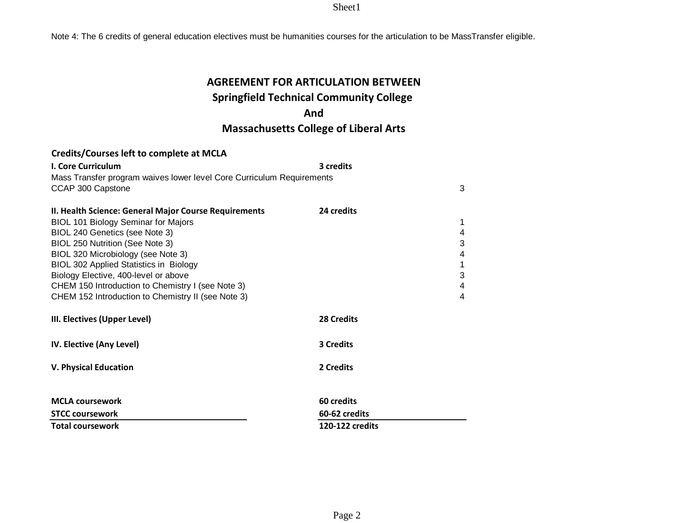Note 4: The 6 credits of general education electives must be humanities courses for the articulation to be MassTransfer eligible.

# **AGREEMENT FOR ARTICULATION BETWEEN Springfield Technical Community College**

## **And**

# **Massachusetts College of Liberal Arts**

| <b>I. Core Curriculum</b>                                             | 3 credits         |   |
|-----------------------------------------------------------------------|-------------------|---|
| Mass Transfer program waives lower level Core Curriculum Requirements |                   |   |
| CCAP 300 Capstone                                                     |                   | 3 |
|                                                                       |                   |   |
| II. Health Science: General Major Course Requirements                 | 24 credits        |   |
| <b>BIOL 101 Biology Seminar for Majors</b>                            |                   | 1 |
| BIOL 240 Genetics (see Note 3)                                        |                   | 4 |
| BIOL 250 Nutrition (See Note 3)                                       |                   | 3 |
| BIOL 320 Microbiology (see Note 3)                                    |                   | 4 |
| <b>BIOL 302 Applied Statistics in Biology</b>                         |                   |   |
| Biology Elective, 400-level or above                                  |                   | 3 |
| CHEM 150 Introduction to Chemistry I (see Note 3)                     |                   | 4 |
| CHEM 152 Introduction to Chemistry II (see Note 3)                    |                   | 4 |
| III. Electives (Upper Level)                                          | <b>28 Credits</b> |   |
| IV. Elective (Any Level)                                              | <b>3 Credits</b>  |   |
| <b>V. Physical Education</b>                                          | 2 Credits         |   |
| <b>MCLA coursework</b>                                                | 60 credits        |   |
| <b>STCC coursework</b>                                                | 60-62 credits     |   |
| <b>Total coursework</b>                                               | 120-122 credits   |   |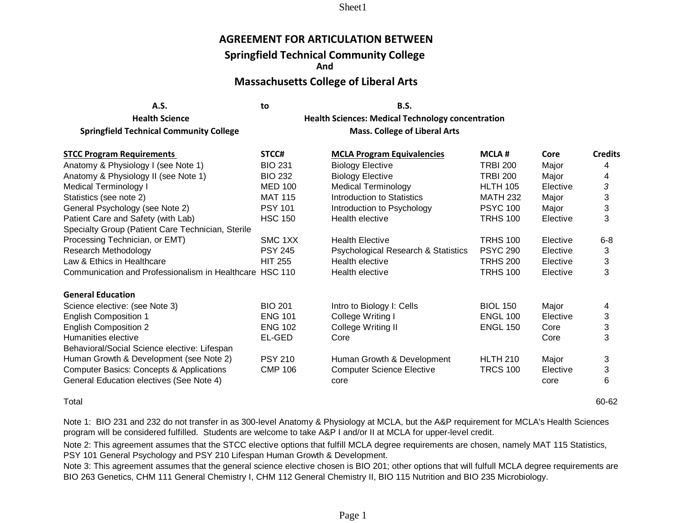## **AGREEMENT FOR ARTICULATION BETWEEN**

### **Springfield Technical Community College**

**And**

### **Massachusetts College of Liberal Arts**

| A.S.                                           | to | <b>B.S.</b>                                     |
|------------------------------------------------|----|-------------------------------------------------|
| <b>Health Science</b>                          |    | <b>Health Sciences: Medical Technology con-</b> |
| <b>Springfield Technical Community College</b> |    | <b>Mass. College of Liberal Arts</b>            |

**Health Sciences: Medical Technology concentration** 

| <b>STCC Program Requirements</b>                        | STCC#          | <b>MCLA Program Equivalencies</b>   | <b>MCLA#</b>    | Core     | <b>Credits</b> |
|---------------------------------------------------------|----------------|-------------------------------------|-----------------|----------|----------------|
| Anatomy & Physiology I (see Note 1)                     | <b>BIO 231</b> | <b>Biology Elective</b>             | <b>TRBI 200</b> | Major    | 4              |
| Anatomy & Physiology II (see Note 1)                    | <b>BIO 232</b> | <b>Biology Elective</b>             | <b>TRBI 200</b> | Major    | 4              |
| <b>Medical Terminology I</b>                            | <b>MED 100</b> | <b>Medical Terminology</b>          | <b>HLTH 105</b> | Elective | 3              |
| Statistics (see note 2)                                 | <b>MAT 115</b> | Introduction to Statistics          | <b>MATH 232</b> | Major    | 3              |
| General Psychology (see Note 2)                         | <b>PSY 101</b> | Introduction to Psychology          | <b>PSYC 100</b> | Major    | 3              |
| Patient Care and Safety (with Lab)                      | <b>HSC 150</b> | Health elective                     | <b>TRHS 100</b> | Elective | 3              |
| Specialty Group (Patient Care Technician, Sterile       |                |                                     |                 |          |                |
| Processing Technician, or EMT)                          | SMC 1XX        | <b>Health Elective</b>              | <b>TRHS 100</b> | Elective | $6-8$          |
| Research Methodology                                    | <b>PSY 245</b> | Psychological Research & Statistics | <b>PSYC 290</b> | Elective | 3              |
| Law & Ethics in Healthcare                              | <b>HIT 255</b> | Health elective                     | <b>TRHS 200</b> | Elective | 3              |
| Communication and Professionalism in Healthcare HSC 110 |                | Health elective                     | <b>TRHS 100</b> | Elective | 3              |
| <b>General Education</b>                                |                |                                     |                 |          |                |
| Science elective: (see Note 3)                          | <b>BIO 201</b> | Intro to Biology I: Cells           | <b>BIOL 150</b> | Major    | 4              |
| <b>English Composition 1</b>                            | <b>ENG 101</b> | College Writing I                   | <b>ENGL 100</b> | Elective | 3              |
| <b>English Composition 2</b>                            | <b>ENG 102</b> | College Writing II                  | <b>ENGL 150</b> | Core     | 3              |
| Humanities elective                                     | EL-GED         | Core                                |                 | Core     | 3              |
| Behavioral/Social Science elective: Lifespan            |                |                                     |                 |          |                |
| Human Growth & Development (see Note 2)                 | <b>PSY 210</b> | Human Growth & Development          | <b>HLTH 210</b> | Major    | 3              |
| <b>Computer Basics: Concepts &amp; Applications</b>     | <b>CMP 106</b> | <b>Computer Science Elective</b>    | <b>TRCS 100</b> | Elective | 3              |
| General Education electives (See Note 4)                |                | core                                |                 | core     | 6              |

Total 60-62

Note 1: BIO 231 and 232 do not transfer in as 300-level Anatomy & Physiology at MCLA, but the A&P requirement for MCLA's Health Sciences program will be considered fulfilled. Students are welcome to take A&P I and/or II at MCLA for upper-level credit.

Note 2: This agreement assumes that the STCC elective options that fulfill MCLA degree requirements are chosen, namely MAT 115 Statistics, PSY 101 General Psychology and PSY 210 Lifespan Human Growth & Development.

Note 3: This agreement assumes that the general science elective chosen is BIO 201; other options that will fulfull MCLA degree requirements are BIO 263 Genetics, CHM 111 General Chemistry I, CHM 112 General Chemistry II, BIO 115 Nutrition and BIO 235 Microbiology.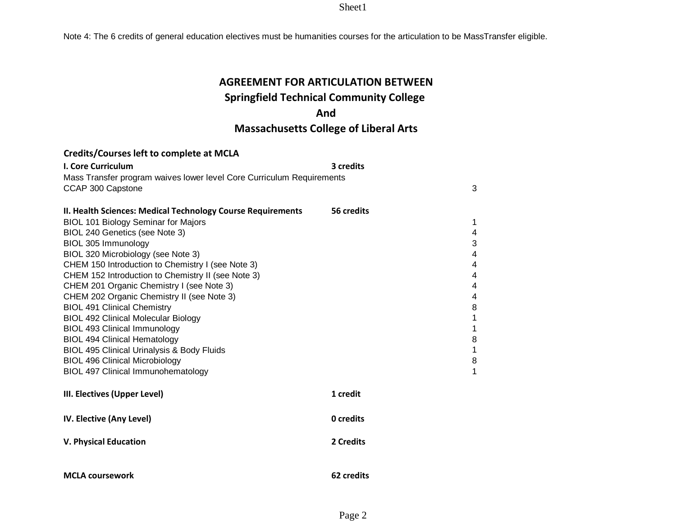Note 4: The 6 credits of general education electives must be humanities courses for the articulation to be MassTransfer eligible.

# **AGREEMENT FOR ARTICULATION BETWEEN**

### **Springfield Technical Community College**

## **And**

## **Massachusetts College of Liberal Arts**

| <b>I. Core Curriculum</b>                                                                  | 3 credits  |        |
|--------------------------------------------------------------------------------------------|------------|--------|
| Mass Transfer program waives lower level Core Curriculum Requirements<br>CCAP 300 Capstone |            | 3      |
| II. Health Sciences: Medical Technology Course Requirements                                | 56 credits |        |
| <b>BIOL 101 Biology Seminar for Majors</b>                                                 |            | 1      |
| BIOL 240 Genetics (see Note 3)                                                             |            | 4      |
| BIOL 305 Immunology                                                                        |            | 3      |
| BIOL 320 Microbiology (see Note 3)                                                         |            | 4      |
| CHEM 150 Introduction to Chemistry I (see Note 3)                                          |            | 4      |
| CHEM 152 Introduction to Chemistry II (see Note 3)                                         |            | 4      |
| CHEM 201 Organic Chemistry I (see Note 3)                                                  |            | 4      |
| CHEM 202 Organic Chemistry II (see Note 3)<br><b>BIOL 491 Clinical Chemistry</b>           |            | 4<br>8 |
| <b>BIOL 492 Clinical Molecular Biology</b>                                                 |            | 1      |
| <b>BIOL 493 Clinical Immunology</b>                                                        |            | 1      |
| <b>BIOL 494 Clinical Hematology</b>                                                        |            | $\, 8$ |
| <b>BIOL 495 Clinical Urinalysis &amp; Body Fluids</b>                                      |            | 1      |
| <b>BIOL 496 Clinical Microbiology</b>                                                      |            | 8      |
| <b>BIOL 497 Clinical Immunohematology</b>                                                  |            | 1      |
|                                                                                            |            |        |
| III. Electives (Upper Level)                                                               | 1 credit   |        |
| IV. Elective (Any Level)                                                                   | 0 credits  |        |
| <b>V. Physical Education</b>                                                               | 2 Credits  |        |
|                                                                                            |            |        |
| <b>MCLA coursework</b>                                                                     | 62 credits |        |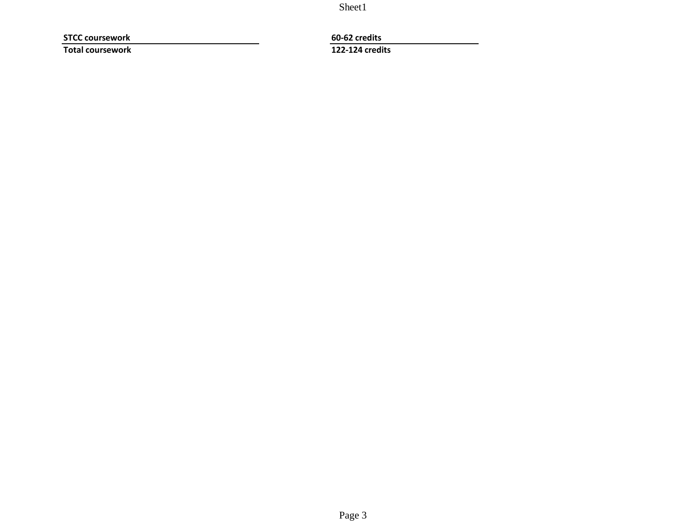**STCC coursework 60-62 credits Total coursework 122-124 credits**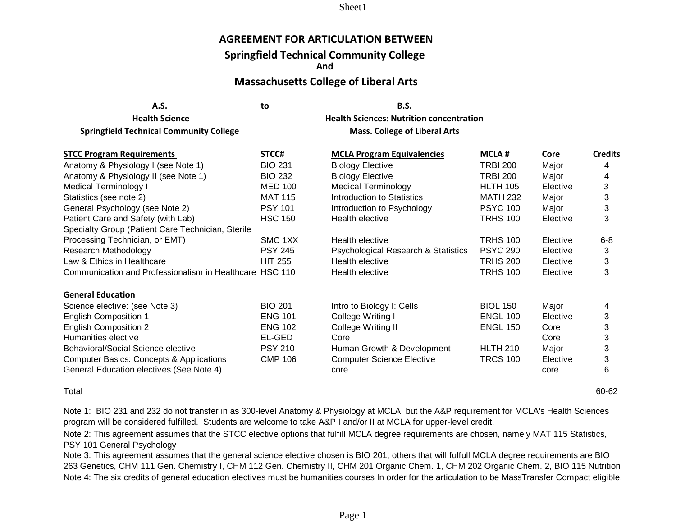### **AGREEMENT FOR ARTICULATION BETWEEN**

### **Springfield Technical Community College**

**And**

# **Massachusetts College of Liberal Arts**

| A.S. | to | <b>B.S.</b> |
|------|----|-------------|
|      |    |             |

**Health Science Health Sciences: Nutrition concentration**

**Springfield Technical Community College Mass. College of Liberal Arts Mass. College of Liberal Arts** 

| <b>STCC Program Requirements</b>                        | STCC#          | <b>MCLA Program Equivalencies</b>   | <b>MCLA#</b>    | Core     | <b>Credits</b> |
|---------------------------------------------------------|----------------|-------------------------------------|-----------------|----------|----------------|
| Anatomy & Physiology I (see Note 1)                     | <b>BIO 231</b> | <b>Biology Elective</b>             | <b>TRBI 200</b> | Major    | 4              |
| Anatomy & Physiology II (see Note 1)                    | <b>BIO 232</b> | <b>Biology Elective</b>             | <b>TRBI 200</b> | Major    | 4              |
| Medical Terminology I                                   | <b>MED 100</b> | <b>Medical Terminology</b>          | <b>HLTH 105</b> | Elective | 3              |
| Statistics (see note 2)                                 | <b>MAT 115</b> | Introduction to Statistics          | <b>MATH 232</b> | Major    | 3              |
| General Psychology (see Note 2)                         | <b>PSY 101</b> | Introduction to Psychology          | <b>PSYC 100</b> | Major    | 3              |
| Patient Care and Safety (with Lab)                      | <b>HSC 150</b> | Health elective                     | <b>TRHS 100</b> | Elective | 3              |
| Specialty Group (Patient Care Technician, Sterile       |                |                                     |                 |          |                |
| Processing Technician, or EMT)                          | SMC 1XX        | Health elective                     | <b>TRHS 100</b> | Elective | $6 - 8$        |
| Research Methodology                                    | <b>PSY 245</b> | Psychological Research & Statistics | <b>PSYC 290</b> | Elective | 3              |
| Law & Ethics in Healthcare                              | <b>HIT 255</b> | Health elective                     | <b>TRHS 200</b> | Elective | 3              |
| Communication and Professionalism in Healthcare HSC 110 |                | Health elective                     | <b>TRHS 100</b> | Elective | 3              |
| <b>General Education</b>                                |                |                                     |                 |          |                |
| Science elective: (see Note 3)                          | <b>BIO 201</b> | Intro to Biology I: Cells           | <b>BIOL 150</b> | Major    | 4              |
| <b>English Composition 1</b>                            | <b>ENG 101</b> | College Writing I                   | <b>ENGL 100</b> | Elective | 3              |
| <b>English Composition 2</b>                            | <b>ENG 102</b> | College Writing II                  | <b>ENGL 150</b> | Core     | 3              |
| Humanities elective                                     | EL-GED         | Core                                |                 | Core     | 3              |
| Behavioral/Social Science elective                      | <b>PSY 210</b> | Human Growth & Development          | <b>HLTH 210</b> | Major    | 3              |
| <b>Computer Basics: Concepts &amp; Applications</b>     | <b>CMP 106</b> | <b>Computer Science Elective</b>    | <b>TRCS 100</b> | Elective | 3              |
| General Education electives (See Note 4)                |                | core                                |                 | core     | 6              |

Total 60-62

Note 1: BIO 231 and 232 do not transfer in as 300-level Anatomy & Physiology at MCLA, but the A&P requirement for MCLA's Health Sciences program will be considered fulfilled. Students are welcome to take A&P I and/or II at MCLA for upper-level credit.

Note 2: This agreement assumes that the STCC elective options that fulfill MCLA degree requirements are chosen, namely MAT 115 Statistics, PSY 101 General Psychology

Note 4: The six credits of general education electives must be humanities courses In order for the articulation to be MassTransfer Compact eligible. Note 3: This agreement assumes that the general science elective chosen is BIO 201; others that will fulfull MCLA degree requirements are BIO 263 Genetics, CHM 111 Gen. Chemistry I, CHM 112 Gen. Chemistry II, CHM 201 Organic Chem. 1, CHM 202 Organic Chem. 2, BIO 115 Nutrition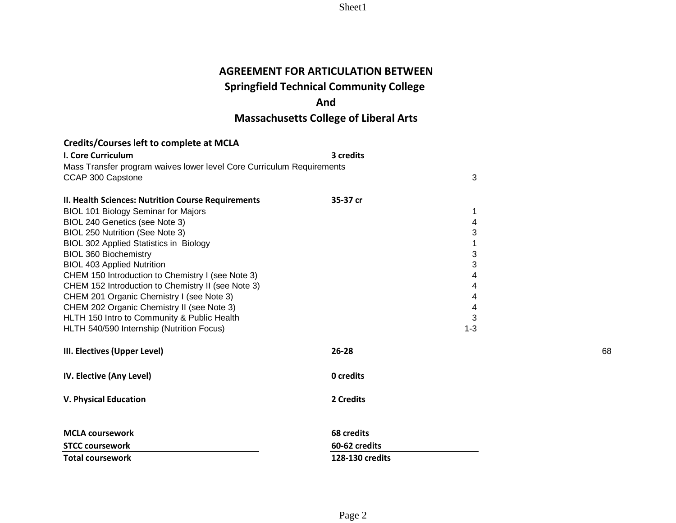# **AGREEMENT FOR ARTICULATION BETWEEN**

# **Springfield Technical Community College**

# **And**

# **Massachusetts College of Liberal Arts**

| I. Core Curriculum                                                    | 3 credits       |    |
|-----------------------------------------------------------------------|-----------------|----|
| Mass Transfer program waives lower level Core Curriculum Requirements |                 |    |
| CCAP 300 Capstone                                                     | 3               |    |
|                                                                       |                 |    |
| II. Health Sciences: Nutrition Course Requirements                    | 35-37 cr        |    |
| <b>BIOL 101 Biology Seminar for Majors</b>                            | 1               |    |
| BIOL 240 Genetics (see Note 3)                                        | 4               |    |
| BIOL 250 Nutrition (See Note 3)                                       | 3               |    |
| BIOL 302 Applied Statistics in Biology                                | 1               |    |
| <b>BIOL 360 Biochemistry</b>                                          | 3               |    |
| <b>BIOL 403 Applied Nutrition</b>                                     | 3               |    |
| CHEM 150 Introduction to Chemistry I (see Note 3)                     | 4               |    |
| CHEM 152 Introduction to Chemistry II (see Note 3)                    | 4               |    |
| CHEM 201 Organic Chemistry I (see Note 3)                             | 4               |    |
| CHEM 202 Organic Chemistry II (see Note 3)                            | 4               |    |
| HLTH 150 Intro to Community & Public Health                           | 3               |    |
| HLTH 540/590 Internship (Nutrition Focus)                             | $1 - 3$         |    |
| III. Electives (Upper Level)                                          | $26 - 28$       | 68 |
| IV. Elective (Any Level)                                              | 0 credits       |    |
| <b>V. Physical Education</b>                                          | 2 Credits       |    |
| <b>MCLA coursework</b>                                                | 68 credits      |    |
| <b>STCC coursework</b>                                                | 60-62 credits   |    |
| <b>Total coursework</b>                                               | 128-130 credits |    |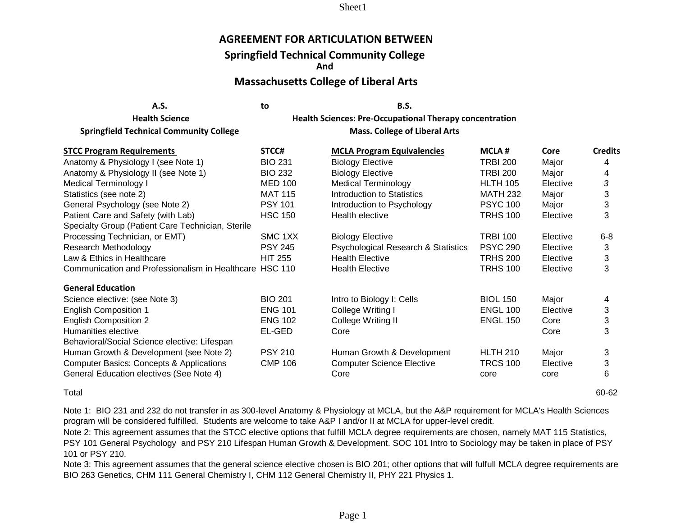### **AGREEMENT FOR ARTICULATION BETWEEN**

### **Springfield Technical Community College**

**And**

### **Massachusetts College of Liberal Arts**

**A.S. to B.S.**

**Health Science Health Sciences: Pre-Occupational Therapy concentration**

**Springfield Technical Community College Mass. College of Liberal Arts Mass. College of Liberal Arts** 

| <b>STCC Program Requirements</b>                        | STCC#          | <b>MCLA Program Equivalencies</b>   | <b>MCLA#</b>    | Core     | <b>Credits</b> |
|---------------------------------------------------------|----------------|-------------------------------------|-----------------|----------|----------------|
| Anatomy & Physiology I (see Note 1)                     | <b>BIO 231</b> | <b>Biology Elective</b>             | <b>TRBI 200</b> | Major    | 4              |
| Anatomy & Physiology II (see Note 1)                    | <b>BIO 232</b> | <b>Biology Elective</b>             | <b>TRBI 200</b> | Major    | 4              |
| Medical Terminology I                                   | <b>MED 100</b> | <b>Medical Terminology</b>          | <b>HLTH 105</b> | Elective | 3              |
| Statistics (see note 2)                                 | <b>MAT 115</b> | Introduction to Statistics          | <b>MATH 232</b> | Major    | 3              |
| General Psychology (see Note 2)                         | <b>PSY 101</b> | Introduction to Psychology          | <b>PSYC 100</b> | Major    | 3              |
| Patient Care and Safety (with Lab)                      | <b>HSC 150</b> | Health elective                     | <b>TRHS 100</b> | Elective | 3              |
| Specialty Group (Patient Care Technician, Sterile       |                |                                     |                 |          |                |
| Processing Technician, or EMT)                          | SMC 1XX        | <b>Biology Elective</b>             | <b>TRBI 100</b> | Elective | $6 - 8$        |
| Research Methodology                                    | <b>PSY 245</b> | Psychological Research & Statistics | <b>PSYC 290</b> | Elective | 3              |
| Law & Ethics in Healthcare                              | <b>HIT 255</b> | <b>Health Elective</b>              | <b>TRHS 200</b> | Elective | 3              |
| Communication and Professionalism in Healthcare HSC 110 |                | <b>Health Elective</b>              | <b>TRHS 100</b> | Elective | 3              |
| <b>General Education</b>                                |                |                                     |                 |          |                |
| Science elective: (see Note 3)                          | <b>BIO 201</b> | Intro to Biology I: Cells           | <b>BIOL 150</b> | Major    | 4              |
| <b>English Composition 1</b>                            | <b>ENG 101</b> | College Writing I                   | <b>ENGL 100</b> | Elective | 3              |
| <b>English Composition 2</b>                            | <b>ENG 102</b> | College Writing II                  | <b>ENGL 150</b> | Core     | 3              |
| Humanities elective                                     | EL-GED         | Core                                |                 | Core     | 3              |
| Behavioral/Social Science elective: Lifespan            |                |                                     |                 |          |                |
| Human Growth & Development (see Note 2)                 | <b>PSY 210</b> | Human Growth & Development          | <b>HLTH 210</b> | Major    | 3              |
| <b>Computer Basics: Concepts &amp; Applications</b>     | <b>CMP 106</b> | <b>Computer Science Elective</b>    | <b>TRCS 100</b> | Elective | 3              |
| General Education electives (See Note 4)                |                | Core                                | core            | core     | 6              |

Total 60-62

Note 1: BIO 231 and 232 do not transfer in as 300-level Anatomy & Physiology at MCLA, but the A&P requirement for MCLA's Health Sciences program will be considered fulfilled. Students are welcome to take A&P I and/or II at MCLA for upper-level credit.

Note 2: This agreement assumes that the STCC elective options that fulfill MCLA degree requirements are chosen, namely MAT 115 Statistics, PSY 101 General Psychology and PSY 210 Lifespan Human Growth & Development. SOC 101 Intro to Sociology may be taken in place of PSY 101 or PSY 210.

Note 3: This agreement assumes that the general science elective chosen is BIO 201; other options that will fulfull MCLA degree requirements are BIO 263 Genetics, CHM 111 General Chemistry I, CHM 112 General Chemistry II, PHY 221 Physics 1.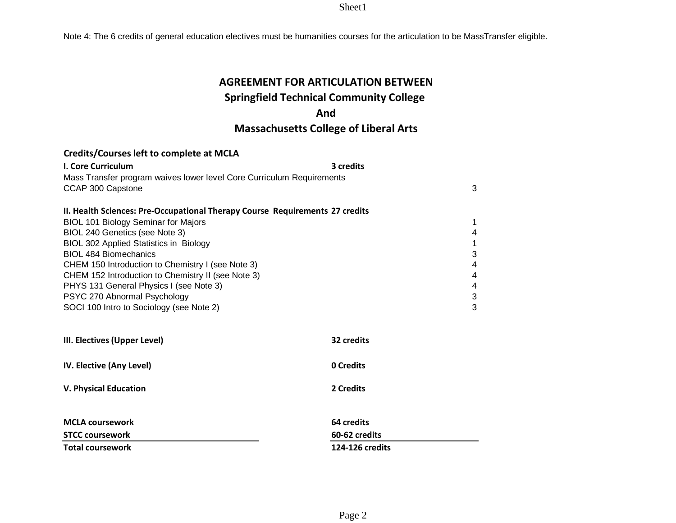Note 4: The 6 credits of general education electives must be humanities courses for the articulation to be MassTransfer eligible.

# **AGREEMENT FOR ARTICULATION BETWEEN**

# **Springfield Technical Community College**

## **And**

# **Massachusetts College of Liberal Arts**

| I. Core Curriculum                                                           | 3 credits        |   |
|------------------------------------------------------------------------------|------------------|---|
| Mass Transfer program waives lower level Core Curriculum Requirements        |                  |   |
| CCAP 300 Capstone                                                            |                  | 3 |
|                                                                              |                  |   |
| II. Health Sciences: Pre-Occupational Therapy Course Requirements 27 credits |                  |   |
| <b>BIOL 101 Biology Seminar for Majors</b>                                   |                  | 1 |
| BIOL 240 Genetics (see Note 3)                                               |                  | 4 |
| <b>BIOL 302 Applied Statistics in Biology</b>                                |                  |   |
| <b>BIOL 484 Biomechanics</b>                                                 |                  | 3 |
| CHEM 150 Introduction to Chemistry I (see Note 3)                            |                  | 4 |
| CHEM 152 Introduction to Chemistry II (see Note 3)                           |                  | 4 |
| PHYS 131 General Physics I (see Note 3)                                      |                  | 4 |
| PSYC 270 Abnormal Psychology                                                 |                  | 3 |
| SOCI 100 Intro to Sociology (see Note 2)                                     |                  | 3 |
|                                                                              |                  |   |
| III. Electives (Upper Level)                                                 | 32 credits       |   |
|                                                                              |                  |   |
| IV. Elective (Any Level)                                                     | <b>0 Credits</b> |   |
|                                                                              |                  |   |
| <b>V. Physical Education</b>                                                 | 2 Credits        |   |

| MCLA coursework        | 64 credits      |
|------------------------|-----------------|
| <b>STCC coursework</b> | 60-62 credits   |
| Total coursework       | 124-126 credits |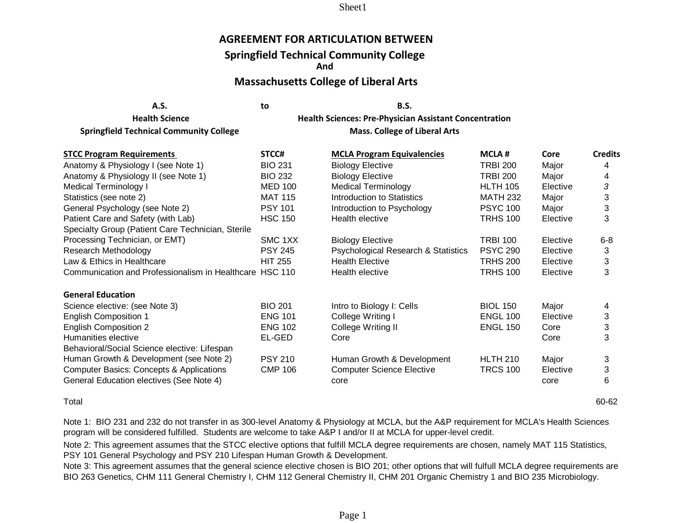### **AGREEMENT FOR ARTICULATION BETWEEN**

### **Springfield Technical Community College**

**And**

### **Massachusetts College of Liberal Arts**

**A.S. to B.S.**

**Springfield Technical Community College Mass. College of Liberal Arts Mass. College of Liberal Arts** 

**Health Science Health Sciences: Pre-Physician Assistant Concentration**

| STCC#                                                   | <b>MCLA#</b>                                                                                                                                                                                                                                                                                                                                                                                                                                                                  | Core     | <b>Credits</b> |
|---------------------------------------------------------|-------------------------------------------------------------------------------------------------------------------------------------------------------------------------------------------------------------------------------------------------------------------------------------------------------------------------------------------------------------------------------------------------------------------------------------------------------------------------------|----------|----------------|
| <b>BIO 231</b>                                          | <b>TRBI 200</b>                                                                                                                                                                                                                                                                                                                                                                                                                                                               | Major    |                |
| <b>BIO 232</b>                                          | <b>TRBI 200</b>                                                                                                                                                                                                                                                                                                                                                                                                                                                               | Major    | 4              |
| <b>MED 100</b>                                          | <b>HLTH 105</b>                                                                                                                                                                                                                                                                                                                                                                                                                                                               | Elective | 3              |
| <b>MAT 115</b>                                          | <b>MATH 232</b>                                                                                                                                                                                                                                                                                                                                                                                                                                                               | Major    | 3              |
| <b>PSY 101</b>                                          | <b>PSYC 100</b>                                                                                                                                                                                                                                                                                                                                                                                                                                                               | Major    | 3              |
| <b>HSC 150</b>                                          | <b>TRHS 100</b>                                                                                                                                                                                                                                                                                                                                                                                                                                                               | Elective | 3              |
|                                                         |                                                                                                                                                                                                                                                                                                                                                                                                                                                                               |          |                |
| SMC 1XX                                                 | <b>TRBI 100</b>                                                                                                                                                                                                                                                                                                                                                                                                                                                               | Elective | $6 - 8$        |
| <b>PSY 245</b>                                          | <b>PSYC 290</b>                                                                                                                                                                                                                                                                                                                                                                                                                                                               | Elective | 3              |
| <b>HIT 255</b>                                          | <b>TRHS 200</b>                                                                                                                                                                                                                                                                                                                                                                                                                                                               | Elective | 3              |
| Communication and Professionalism in Healthcare HSC 110 | <b>TRHS 100</b>                                                                                                                                                                                                                                                                                                                                                                                                                                                               | Elective | 3              |
|                                                         |                                                                                                                                                                                                                                                                                                                                                                                                                                                                               |          |                |
| <b>BIO 201</b>                                          | <b>BIOL 150</b>                                                                                                                                                                                                                                                                                                                                                                                                                                                               | Major    | 4              |
| <b>ENG 101</b>                                          | <b>ENGL 100</b>                                                                                                                                                                                                                                                                                                                                                                                                                                                               | Elective | 3              |
| <b>ENG 102</b>                                          | <b>ENGL 150</b>                                                                                                                                                                                                                                                                                                                                                                                                                                                               | Core     | 3              |
| EL-GED                                                  |                                                                                                                                                                                                                                                                                                                                                                                                                                                                               | Core     | 3              |
|                                                         |                                                                                                                                                                                                                                                                                                                                                                                                                                                                               |          |                |
| <b>PSY 210</b>                                          | <b>HLTH 210</b>                                                                                                                                                                                                                                                                                                                                                                                                                                                               | Major    | 3              |
| <b>CMP 106</b>                                          | <b>TRCS 100</b>                                                                                                                                                                                                                                                                                                                                                                                                                                                               | Elective | 3              |
|                                                         |                                                                                                                                                                                                                                                                                                                                                                                                                                                                               | core     | 6              |
|                                                         | <b>MCLA Program Equivalencies</b><br><b>Biology Elective</b><br><b>Biology Elective</b><br><b>Medical Terminology</b><br>Introduction to Statistics<br>Introduction to Psychology<br>Health elective<br><b>Biology Elective</b><br>Psychological Research & Statistics<br><b>Health Elective</b><br>Health elective<br>Intro to Biology I: Cells<br>College Writing I<br>College Writing II<br>Core<br>Human Growth & Development<br><b>Computer Science Elective</b><br>core |          |                |

Total 60-62

Note 1: BIO 231 and 232 do not transfer in as 300-level Anatomy & Physiology at MCLA, but the A&P requirement for MCLA's Health Sciences program will be considered fulfilled. Students are welcome to take A&P I and/or II at MCLA for upper-level credit.

Note 2: This agreement assumes that the STCC elective options that fulfill MCLA degree requirements are chosen, namely MAT 115 Statistics, PSY 101 General Psychology and PSY 210 Lifespan Human Growth & Development.

Note 3: This agreement assumes that the general science elective chosen is BIO 201; other options that will fulfull MCLA degree requirements are BIO 263 Genetics, CHM 111 General Chemistry I, CHM 112 General Chemistry II, CHM 201 Organic Chemistry 1 and BIO 235 Microbiology.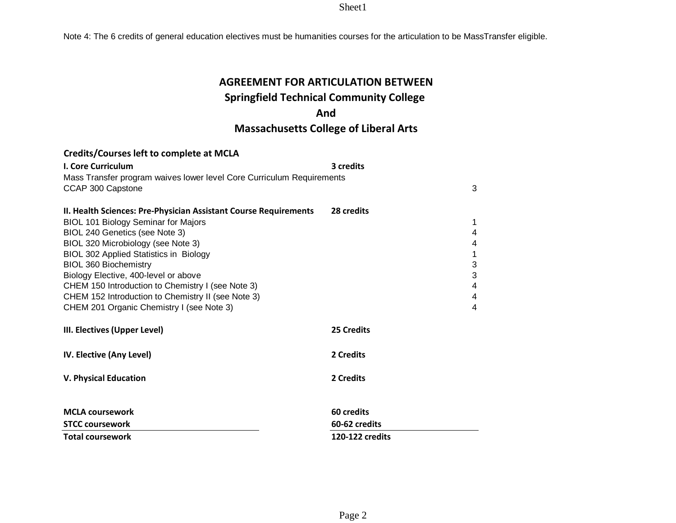Note 4: The 6 credits of general education electives must be humanities courses for the articulation to be MassTransfer eligible.

# **AGREEMENT FOR ARTICULATION BETWEEN**

# **Springfield Technical Community College**

## **And**

# **Massachusetts College of Liberal Arts**

| <b>I. Core Curriculum</b>                                             | 3 credits       |        |
|-----------------------------------------------------------------------|-----------------|--------|
| Mass Transfer program waives lower level Core Curriculum Requirements |                 |        |
| CCAP 300 Capstone                                                     |                 | 3      |
|                                                                       |                 |        |
| II. Health Sciences: Pre-Physician Assistant Course Requirements      | 28 credits      |        |
| <b>BIOL 101 Biology Seminar for Majors</b>                            |                 | 1      |
| BIOL 240 Genetics (see Note 3)                                        |                 | 4      |
| BIOL 320 Microbiology (see Note 3)                                    |                 | 4      |
| <b>BIOL 302 Applied Statistics in Biology</b>                         |                 | 1      |
| <b>BIOL 360 Biochemistry</b>                                          |                 | 3      |
| Biology Elective, 400-level or above                                  |                 | 3      |
| CHEM 150 Introduction to Chemistry I (see Note 3)                     |                 | 4      |
| CHEM 152 Introduction to Chemistry II (see Note 3)                    |                 | 4<br>4 |
| CHEM 201 Organic Chemistry I (see Note 3)                             |                 |        |
| III. Electives (Upper Level)                                          | 25 Credits      |        |
| IV. Elective (Any Level)                                              | 2 Credits       |        |
| <b>V. Physical Education</b>                                          | 2 Credits       |        |
|                                                                       |                 |        |
| <b>MCLA coursework</b>                                                | 60 credits      |        |
| <b>STCC coursework</b>                                                | 60-62 credits   |        |
| <b>Total coursework</b>                                               | 120-122 credits |        |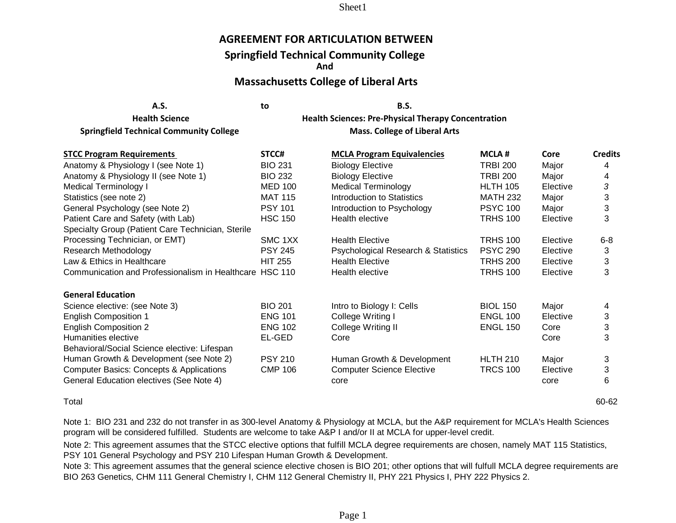### **AGREEMENT FOR ARTICULATION BETWEEN**

## **Springfield Technical Community College**

**And**

### **Massachusetts College of Liberal Arts**

|                                                    | to | B.S.                                |
|----------------------------------------------------|----|-------------------------------------|
| <b>Health Science</b>                              |    | <b>Health Sciences: Pre-Physica</b> |
| لمعمالوه يبيئون بمستعور المقتورة المتحال فالمتلومة |    | $M =  C =    - - -  $               |

**Health Sciences: Pre-Physical Therapy Concentration Springfield Technical Community College Mass. College of Liberal Arts Mass. College of Liberal Arts** 

| <b>STCC Program Requirements</b>                        | STCC#          | <b>MCLA Program Equivalencies</b>   | <b>MCLA#</b>    | Core     | <b>Credits</b> |
|---------------------------------------------------------|----------------|-------------------------------------|-----------------|----------|----------------|
| Anatomy & Physiology I (see Note 1)                     | <b>BIO 231</b> | <b>Biology Elective</b>             | <b>TRBI 200</b> | Major    | 4              |
| Anatomy & Physiology II (see Note 1)                    | <b>BIO 232</b> | <b>Biology Elective</b>             | <b>TRBI 200</b> | Major    | 4              |
| Medical Terminology I                                   | <b>MED 100</b> | <b>Medical Terminology</b>          | <b>HLTH 105</b> | Elective | 3              |
| Statistics (see note 2)                                 | <b>MAT 115</b> | Introduction to Statistics          | <b>MATH 232</b> | Major    | 3              |
| General Psychology (see Note 2)                         | <b>PSY 101</b> | Introduction to Psychology          | <b>PSYC 100</b> | Major    | 3              |
| Patient Care and Safety (with Lab)                      | <b>HSC 150</b> | Health elective                     | <b>TRHS 100</b> | Elective | 3              |
| Specialty Group (Patient Care Technician, Sterile       |                |                                     |                 |          |                |
| Processing Technician, or EMT)                          | SMC 1XX        | <b>Health Elective</b>              | <b>TRHS 100</b> | Elective | $6-8$          |
| Research Methodology                                    | <b>PSY 245</b> | Psychological Research & Statistics | <b>PSYC 290</b> | Elective | 3              |
| Law & Ethics in Healthcare                              | <b>HIT 255</b> | <b>Health Elective</b>              | <b>TRHS 200</b> | Elective | 3              |
| Communication and Professionalism in Healthcare HSC 110 |                | Health elective                     | <b>TRHS 100</b> | Elective | 3              |
| <b>General Education</b>                                |                |                                     |                 |          |                |
| Science elective: (see Note 3)                          | <b>BIO 201</b> | Intro to Biology I: Cells           | <b>BIOL 150</b> | Major    | 4              |
| <b>English Composition 1</b>                            | <b>ENG 101</b> | College Writing I                   | <b>ENGL 100</b> | Elective | 3              |
| <b>English Composition 2</b>                            | <b>ENG 102</b> | College Writing II                  | <b>ENGL 150</b> | Core     | 3              |
| Humanities elective                                     | EL-GED         | Core                                |                 | Core     | 3              |
| Behavioral/Social Science elective: Lifespan            |                |                                     |                 |          |                |
| Human Growth & Development (see Note 2)                 | <b>PSY 210</b> | Human Growth & Development          | <b>HLTH 210</b> | Major    | 3              |
| <b>Computer Basics: Concepts &amp; Applications</b>     | <b>CMP 106</b> | <b>Computer Science Elective</b>    | <b>TRCS 100</b> | Elective | 3              |
| General Education electives (See Note 4)                |                | core                                |                 | core     | 6              |

Total 60-62

Note 1: BIO 231 and 232 do not transfer in as 300-level Anatomy & Physiology at MCLA, but the A&P requirement for MCLA's Health Sciences program will be considered fulfilled. Students are welcome to take A&P I and/or II at MCLA for upper-level credit.

Note 2: This agreement assumes that the STCC elective options that fulfill MCLA degree requirements are chosen, namely MAT 115 Statistics, PSY 101 General Psychology and PSY 210 Lifespan Human Growth & Development.

Note 3: This agreement assumes that the general science elective chosen is BIO 201; other options that will fulfull MCLA degree requirements are BIO 263 Genetics, CHM 111 General Chemistry I, CHM 112 General Chemistry II, PHY 221 Physics I, PHY 222 Physics 2.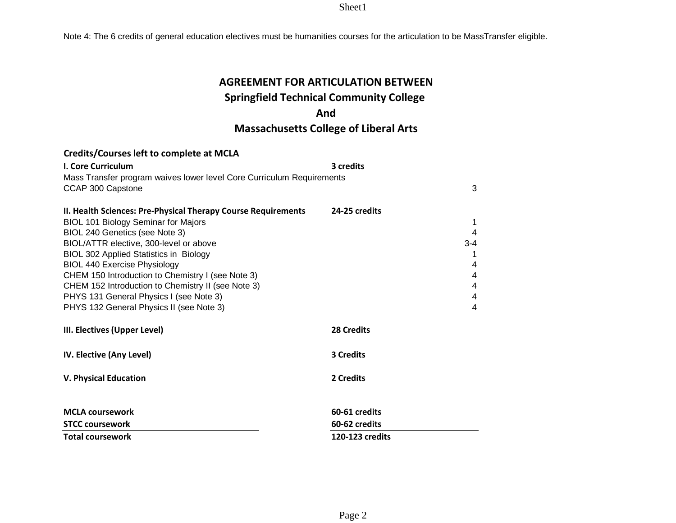Note 4: The 6 credits of general education electives must be humanities courses for the articulation to be MassTransfer eligible.

# **AGREEMENT FOR ARTICULATION BETWEEN**

# **Springfield Technical Community College**

## **And**

# **Massachusetts College of Liberal Arts**

| <b>I. Core Curriculum</b>                                                           | 3 credits         |         |
|-------------------------------------------------------------------------------------|-------------------|---------|
| Mass Transfer program waives lower level Core Curriculum Requirements               |                   |         |
| CCAP 300 Capstone                                                                   |                   | 3       |
|                                                                                     |                   |         |
| II. Health Sciences: Pre-Physical Therapy Course Requirements                       | 24-25 credits     |         |
| <b>BIOL 101 Biology Seminar for Majors</b>                                          |                   | 1       |
| BIOL 240 Genetics (see Note 3)                                                      |                   | 4       |
| BIOL/ATTR elective, 300-level or above                                              |                   | $3 - 4$ |
| BIOL 302 Applied Statistics in Biology                                              |                   |         |
| <b>BIOL 440 Exercise Physiology</b>                                                 |                   | 4       |
| CHEM 150 Introduction to Chemistry I (see Note 3)                                   |                   | 4       |
| CHEM 152 Introduction to Chemistry II (see Note 3)                                  |                   | 4       |
| PHYS 131 General Physics I (see Note 3)<br>PHYS 132 General Physics II (see Note 3) |                   | 4<br>4  |
|                                                                                     |                   |         |
| III. Electives (Upper Level)                                                        | <b>28 Credits</b> |         |
| IV. Elective (Any Level)                                                            | <b>3 Credits</b>  |         |
| <b>V. Physical Education</b>                                                        | 2 Credits         |         |
|                                                                                     |                   |         |
| <b>MCLA coursework</b>                                                              | 60-61 credits     |         |
| <b>STCC coursework</b>                                                              | 60-62 credits     |         |
| <b>Total coursework</b>                                                             | 120-123 credits   |         |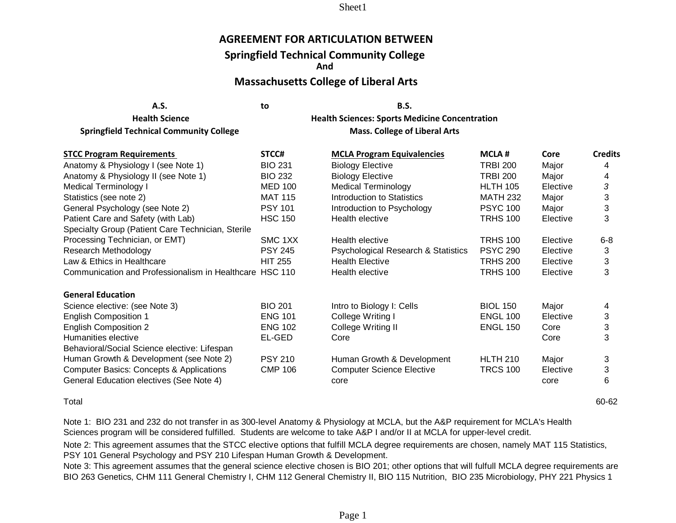### **AGREEMENT FOR ARTICULATION BETWEEN**

### **Springfield Technical Community College**

**And**

### **Massachusetts College of Liberal Arts**

| A.S.                                           | to | <b>B.S.</b>                                    |
|------------------------------------------------|----|------------------------------------------------|
| <b>Health Science</b>                          |    | <b>Health Sciences: Sports Medicine Conder</b> |
| <b>Springfield Technical Community College</b> |    | <b>Mass. College of Liberal Arts</b>           |

**Health Sciences: Sports Medicine Concentration** 

| <b>STCC Program Requirements</b>                        | STCC#          | <b>MCLA Program Equivalencies</b>   | <b>MCLA#</b>    | Core     | <b>Credits</b> |
|---------------------------------------------------------|----------------|-------------------------------------|-----------------|----------|----------------|
| Anatomy & Physiology I (see Note 1)                     | <b>BIO 231</b> | <b>Biology Elective</b>             | <b>TRBI 200</b> | Major    | 4              |
| Anatomy & Physiology II (see Note 1)                    | <b>BIO 232</b> | <b>Biology Elective</b>             | <b>TRBI 200</b> | Major    | 4              |
| <b>Medical Terminology I</b>                            | <b>MED 100</b> | <b>Medical Terminology</b>          | <b>HLTH 105</b> | Elective | 3              |
| Statistics (see note 2)                                 | <b>MAT 115</b> | Introduction to Statistics          | <b>MATH 232</b> | Major    | 3              |
| General Psychology (see Note 2)                         | <b>PSY 101</b> | Introduction to Psychology          | <b>PSYC 100</b> | Major    | 3              |
| Patient Care and Safety (with Lab)                      | <b>HSC 150</b> | Health elective                     | <b>TRHS 100</b> | Elective | 3              |
| Specialty Group (Patient Care Technician, Sterile       |                |                                     |                 |          |                |
| Processing Technician, or EMT)                          | SMC 1XX        | Health elective                     | <b>TRHS 100</b> | Elective | $6-8$          |
| Research Methodology                                    | <b>PSY 245</b> | Psychological Research & Statistics | <b>PSYC 290</b> | Elective | 3              |
| Law & Ethics in Healthcare                              | <b>HIT 255</b> | <b>Health Elective</b>              | <b>TRHS 200</b> | Elective | 3              |
| Communication and Professionalism in Healthcare HSC 110 |                | Health elective                     | <b>TRHS 100</b> | Elective | 3              |
| <b>General Education</b>                                |                |                                     |                 |          |                |
| Science elective: (see Note 3)                          | <b>BIO 201</b> | Intro to Biology I: Cells           | <b>BIOL 150</b> | Major    | 4              |
| <b>English Composition 1</b>                            | <b>ENG 101</b> | College Writing I                   | <b>ENGL 100</b> | Elective | 3              |
| <b>English Composition 2</b>                            | <b>ENG 102</b> | College Writing II                  | <b>ENGL 150</b> | Core     | 3              |
| Humanities elective                                     | EL-GED         | Core                                |                 | Core     | 3              |
| Behavioral/Social Science elective: Lifespan            |                |                                     |                 |          |                |
| Human Growth & Development (see Note 2)                 | <b>PSY 210</b> | Human Growth & Development          | <b>HLTH 210</b> | Major    | 3              |
| <b>Computer Basics: Concepts &amp; Applications</b>     | <b>CMP 106</b> | <b>Computer Science Elective</b>    | <b>TRCS 100</b> | Elective | 3              |
| General Education electives (See Note 4)                |                | core                                |                 | core     | 6              |

Total 60-62

Note 1: BIO 231 and 232 do not transfer in as 300-level Anatomy & Physiology at MCLA, but the A&P requirement for MCLA's Health Sciences program will be considered fulfilled. Students are welcome to take A&P I and/or II at MCLA for upper-level credit.

Note 2: This agreement assumes that the STCC elective options that fulfill MCLA degree requirements are chosen, namely MAT 115 Statistics, PSY 101 General Psychology and PSY 210 Lifespan Human Growth & Development.

Note 3: This agreement assumes that the general science elective chosen is BIO 201; other options that will fulfull MCLA degree requirements are BIO 263 Genetics, CHM 111 General Chemistry I, CHM 112 General Chemistry II, BIO 115 Nutrition, BIO 235 Microbiology, PHY 221 Physics 1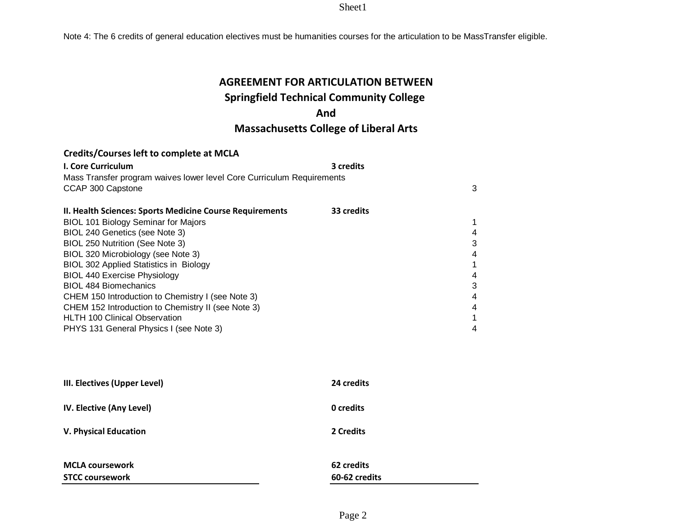Note 4: The 6 credits of general education electives must be humanities courses for the articulation to be MassTransfer eligible.

# **AGREEMENT FOR ARTICULATION BETWEEN**

# **Springfield Technical Community College**

## **And**

# **Massachusetts College of Liberal Arts**

| <b>I. Core Curriculum</b>                                             | 3 credits  |   |
|-----------------------------------------------------------------------|------------|---|
| Mass Transfer program waives lower level Core Curriculum Requirements |            |   |
| CCAP 300 Capstone                                                     |            | 3 |
|                                                                       |            |   |
| II. Health Sciences: Sports Medicine Course Requirements              | 33 credits |   |
| <b>BIOL 101 Biology Seminar for Majors</b>                            |            |   |
| BIOL 240 Genetics (see Note 3)                                        |            | 4 |
| BIOL 250 Nutrition (See Note 3)                                       |            | 3 |
| BIOL 320 Microbiology (see Note 3)                                    |            | 4 |
| <b>BIOL 302 Applied Statistics in Biology</b>                         |            |   |
| <b>BIOL 440 Exercise Physiology</b>                                   |            | 4 |
| <b>BIOL 484 Biomechanics</b>                                          |            | 3 |
| CHEM 150 Introduction to Chemistry I (see Note 3)                     |            | 4 |
| CHEM 152 Introduction to Chemistry II (see Note 3)                    |            | 4 |
| <b>HLTH 100 Clinical Observation</b>                                  |            |   |
| PHYS 131 General Physics I (see Note 3)                               |            |   |

| III. Electives (Upper Level)    | 24 credits    |
|---------------------------------|---------------|
| <b>IV. Elective (Any Level)</b> | 0 credits     |
| <b>V. Physical Education</b>    | 2 Credits     |
| <b>MCLA coursework</b>          | 62 credits    |
| <b>STCC coursework</b>          | 60-62 credits |